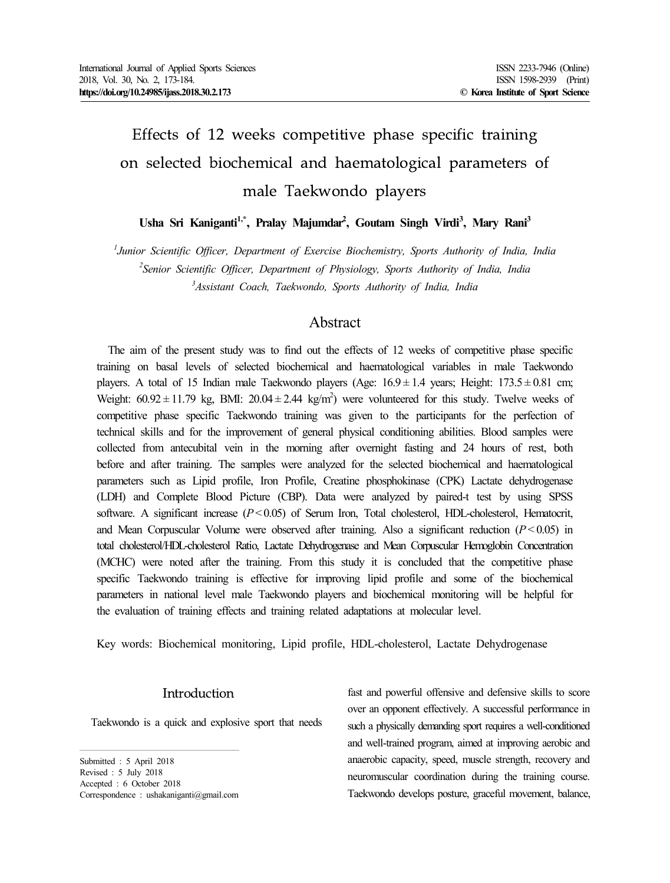# Effects of 12 weeks competitive phase specific training on selected biochemical and haematological parameters of male Taekwondo players

**Usha Sri Kaniganti1,\* , Pralay Majumdar<sup>2</sup> , Goutam Singh Virdi<sup>3</sup> , Mary Rani<sup>3</sup>**

*<sup>1</sup>Junior Scientific Officer, Department of Exercise Biochemistry, Sports Authority of India, India <sup>2</sup>Senior Scientific Officer, Department of Physiology, Sports Authority of India, India <sup>3</sup>Assistant Coach, Taekwondo, Sports Authority of India, India*

# Abstract

The aim of the present study was to find out the effects of 12 weeks of competitive phase specific training on basal levels of selected biochemical and haematological variables in male Taekwondo players. A total of 15 Indian male Taekwondo players (Age:  $16.9 \pm 1.4$  years; Height: 173.5  $\pm$  0.81 cm; Weight:  $60.92 \pm 11.79$  kg, BMI:  $20.04 \pm 2.44$  kg/m<sup>2</sup>) were volunteered for this study. Twelve weeks of competitive phase specific Taekwondo training was given to the participants for the perfection of technical skills and for the improvement of general physical conditioning abilities. Blood samples were collected from antecubital vein in the morning after overnight fasting and 24 hours of rest, both before and after training. The samples were analyzed for the selected biochemical and haematological parameters such as Lipid profile, Iron Profile, Creatine phosphokinase (CPK) Lactate dehydrogenase (LDH) and Complete Blood Picture (CBP). Data were analyzed by paired-t test by using SPSS software. A significant increase (*P*< 0.05) of Serum Iron, Total cholesterol, HDL-cholesterol, Hematocrit, and Mean Corpuscular Volume were observed after training. Also a significant reduction (*P*< 0.05) in total cholesterol/HDL-cholesterol Ratio, Lactate Dehydrogenase and Mean Corpuscular Hemoglobin Concentration (MCHC) were noted after the training. From this study it is concluded that the competitive phase specific Taekwondo training is effective for improving lipid profile and some of the biochemical parameters in national level male Taekwondo players and biochemical monitoring will be helpful for the evaluation of training effects and training related adaptations at molecular level.

Key words: Biochemical monitoring, Lipid profile, HDL-cholesterol, Lactate Dehydrogenase

# Introduction

Taekwondo is a quick and explosive sport that needs

Submitted : 5 April 2018 Revised : 5 July 2018 Accepted : 6 October 2018 Correspondence : ushakaniganti@gmail.com fast and powerful offensive and defensive skills to score over an opponent effectively. A successful performance in such a physically demanding sport requires a well-conditioned and well-trained program, aimed at improving aerobic and anaerobic capacity, speed, muscle strength, recovery and neuromuscular coordination during the training course. Taekwondo develops posture, graceful movement, balance,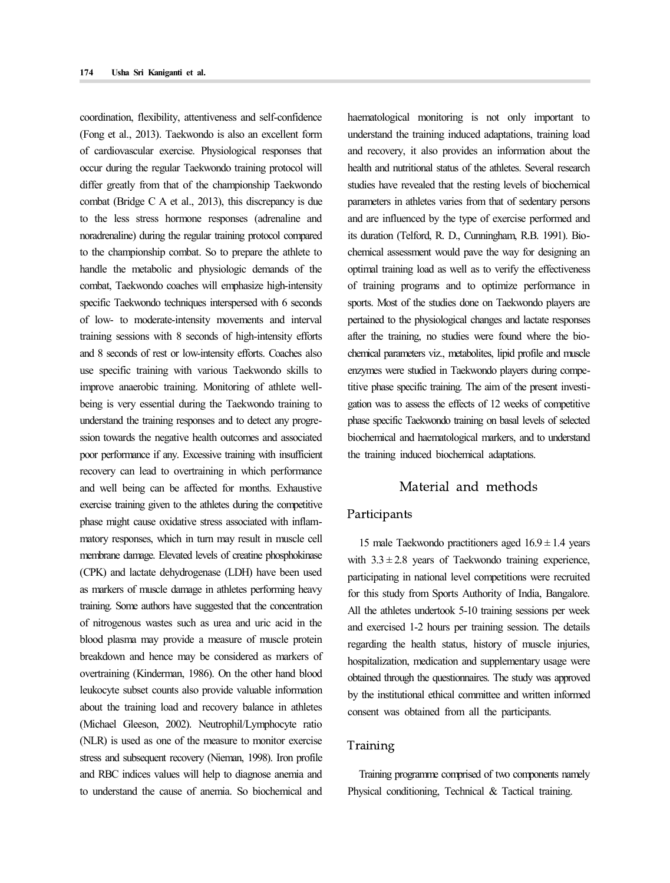coordination, flexibility, attentiveness and self-confidence (Fong et al., 2013). Taekwondo is also an excellent form of cardiovascular exercise. Physiological responses that occur during the regular Taekwondo training protocol will differ greatly from that of the championship Taekwondo combat (Bridge C A et al., 2013), this discrepancy is due to the less stress hormone responses (adrenaline and noradrenaline) during the regular training protocol compared to the championship combat. So to prepare the athlete to handle the metabolic and physiologic demands of the combat, Taekwondo coaches will emphasize high-intensity specific Taekwondo techniques interspersed with 6 seconds of low- to moderate-intensity movements and interval training sessions with 8 seconds of high-intensity efforts and 8 seconds of rest or low-intensity efforts. Coaches also use specific training with various Taekwondo skills to improve anaerobic training. Monitoring of athlete well being is very essential during the Taekwondo training to understand the training responses and to detect any progre ssion towards the negative health outcomes and associated poor performance if any. Excessive training with insufficient recovery can lead to overtraining in which performance and well being can be affected for months. Exhaustive exercise training given to the athletes during the competitive phase might cause oxidative stress associated with inflam matory responses, which in turn may result in muscle cell membrane damage. Elevated levels of creatine phosphokinase (CPK) and lactate dehydrogenase (LDH) have been used as markers of muscle damage in athletes performing heavy training. Some authors have suggested that the concentration of nitrogenous wastes such as urea and uric acid in the blood plasma may provide a measure of muscle protein breakdown and hence may be considered as markers of overtraining (Kinderman, 1986). On the other hand blood leukocyte subset counts also provide valuable information about the training load and recovery balance in athletes (Michael Gleeson, 2002). Neutrophil/Lymphocyte ratio (NLR) is used as one of the measure to monitor exercise stress and subsequent recovery (Nieman, 1998). Iron profile and RBC indices values will help to diagnose anemia and to understand the cause of anemia. So biochemical and haematological monitoring is not only important to understand the training induced adaptations, training load and recovery, it also provides an information about the health and nutritional status of the athletes. Several research studies have revealed that the resting levels of biochemical parameters in athletes varies from that of sedentary persons and are influenced by the type of exercise performed and its duration (Telford, R. D., Cunningham, R.B. 1991). Bio chemical assessment would pave the way for designing an optimal training load as well as to verify the effectiveness of training programs and to optimize performance in sports. Most of the studies done on Taekwondo players are pertained to the physiological changes and lactate responses after the training, no studies were found where the bio chemical parameters viz., metabolites, lipid profile and muscle enzymes were studied in Taekwondo players during competitive phase specific training. The aim of the present investi gation was to assess the effects of 12 weeks of competitive phase specific Taekwondo training on basal levels of selected biochemical and haematological markers, and to understand the training induced biochemical adaptations.

# Material and methods

#### Participants

15 male Taekwondo practitioners aged  $16.9 \pm 1.4$  years with  $3.3 \pm 2.8$  years of Taekwondo training experience, participating in national level competitions were recruited for this study from Sports Authority of India, Bangalore. All the athletes undertook 5-10 training sessions per week and exercised 1-2 hours per training session. The details regarding the health status, history of muscle injuries, hospitalization, medication and supplementary usage were obtained through the questionnaires. The study was approved by the institutional ethical committee and written informed consent was obtained from all the participants.

# Training

Training programme comprised of two components namely Physical conditioning, Technical & Tactical training.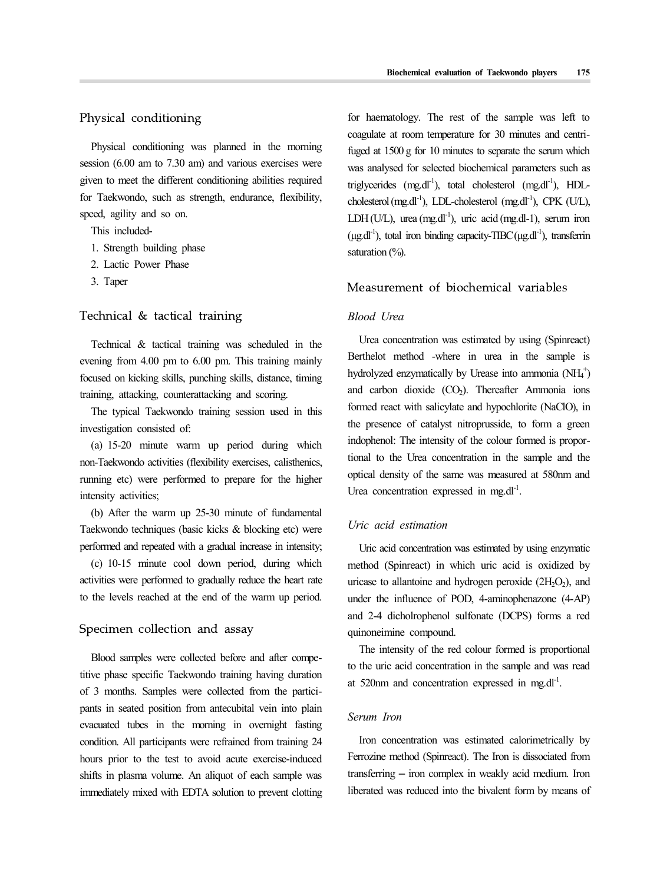#### Physical conditioning

Physical conditioning was planned in the morning session (6.00 am to 7.30 am) and various exercises were given to meet the different conditioning abilities required for Taekwondo, such as strength, endurance, flexibility, speed, agility and so on.

This included-

- 1. Strength building phase
- 2. Lactic Power Phase
- 3. Taper

#### Technical & tactical training

Technical & tactical training was scheduled in the evening from 4.00 pm to 6.00 pm. This training mainly focused on kicking skills, punching skills, distance, timing training, attacking, counterattacking and scoring.

The typical Taekwondo training session used in this investigation consisted of:

(a) 15-20 minute warm up period during which non-Taekwondo activities (flexibility exercises, calisthenics, running etc) were performed to prepare for the higher intensity activities;

(b) After the warm up 25-30 minute of fundamental Taekwondo techniques (basic kicks & blocking etc) were performed and repeated with a gradual increase in intensity;

(c) 10-15 minute cool down period, during which activities were performed to gradually reduce the heart rate to the levels reached at the end of the warm up period.

#### Specimen collection and assay

Blood samples were collected before and after competitive phase specific Taekwondo training having duration of 3 months. Samples were collected from the partici pants in seated position from antecubital vein into plain evacuated tubes in the morning in overnight fasting condition. All participants were refrained from training 24 hours prior to the test to avoid acute exercise-induced shifts in plasma volume. An aliquot of each sample was immediately mixed with EDTA solution to prevent clotting

for haematology. The rest of the sample was left to coagulate at room temperature for 30 minutes and centrifuged at 1500 g for 10 minutes to separate the serum which was analysed for selected biochemical parameters such as triglycerides  $(mg.dl^{-1})$ , total cholesterol  $(mg.dl^{-1})$ , HDLcholesterol (mg.dl<sup>-1</sup>), LDL-cholesterol (mg.dl<sup>-1</sup>), CPK (U/L), LDH(U/L), urea (mg.dl<sup>-1</sup>), uric acid (mg.dl-1), serum iron  $(\mu$ g.dl<sup>-1</sup>), total iron binding capacity-TIBC( $\mu$ g.dl<sup>-1</sup>), transferrin saturation (%).

#### Measurement of biochemical variables

#### *Blood Urea*

Urea concentration was estimated by using (Spinreact) Berthelot method -where in urea in the sample is hydrolyzed enzymatically by Urease into ammonia (NH<sub>4</sub>+) and carbon dioxide  $(CO<sub>2</sub>)$ . Thereafter Ammonia ions formed react with salicylate and hypochlorite (NaClO), in the presence of catalyst nitroprusside, to form a green indophenol: The intensity of the colour formed is proportional to the Urea concentration in the sample and the optical density of the same was measured at 580nm and Urea concentration expressed in mg.dl<sup>-1</sup>.

#### *Uric acid estimation*

Uric acid concentration was estimated by using enzymatic method (Spinreact) in which uric acid is oxidized by uricase to allantoine and hydrogen peroxide  $(2H<sub>2</sub>O<sub>2</sub>)$ , and under the influence of POD, 4-aminophenazone (4-AP) and 2-4 dicholrophenol sulfonate (DCPS) forms a red quinoneimine compound.

The intensity of the red colour formed is proportional to the uric acid concentration in the sample and was read at 520nm and concentration expressed in mg.dl<sup>-1</sup>. .

#### *Serum Iron*

Iron concentration was estimated calorimetrically by Ferrozine method (Spinreact). The Iron is dissociated from transferring – iron complex in weakly acid medium. Iron liberated was reduced into the bivalent form by means of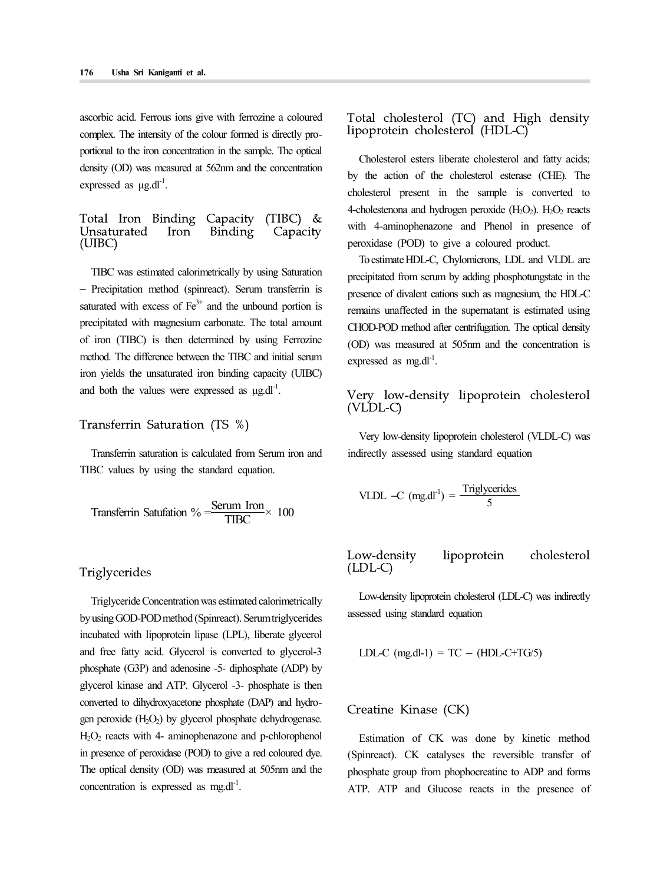ascorbic acid. Ferrous ions give with ferrozine a coloured complex. The intensity of the colour formed is directly pro-<br>lipoprotein cholesterol (HDL-C) portional to the iron concentration in the sample. The optical density (OD) was measured at 562nm and the concentration expressed as  $\mu$ g.dl<sup>-1</sup>.

# Total Iron Binding Capacity (TIBC) & Unsaturated Iron Binding Capacity <sup>will</sup><br>(UIBC) perox

TIBC was estimated calorimetrically by using Saturation – Precipitation method (spinreact). Serum transferrin is saturated with excess of  $Fe<sup>3+</sup>$  and the unbound portion is precipitated with magnesium carbonate. The total amount of iron (TIBC) is then determined by using Ferrozine method. The difference between the TIBC and initial serum iron yields the unsaturated iron binding capacity (UIBC) and both the values were expressed as  $\mu$ g.dl<sup>-1</sup>.

#### Transferrin Saturation (TS %)

Transferrin saturation is calculated from Serum iron and TIBC values by using the standard equation.

Transferrin Satufation % 
$$
=\frac{\text{Serum Iron}}{\text{TIBC}} \times 100
$$

#### Triglycerides

Triglyceride Concentration was estimated calorimetrically by using GOD-POD method (Spinreact). Serum triglycerides incubated with lipoprotein lipase (LPL), liberate glycerol and free fatty acid. Glycerol is converted to glycerol-3 phosphate (G3P) and adenosine -5- diphosphate (ADP) by glycerol kinase and ATP. Glycerol -3- phosphate is then converted to dihydroxyacetone phosphate (DAP) and hydro gen peroxide  $(H_2O_2)$  by glycerol phosphate dehydrogenase.  $H_2O_2$  reacts with 4- aminophenazone and p-chlorophenol in presence of peroxidase (POD) to give a red coloured dye. The optical density (OD) was measured at 505nm and the concentration is expressed as  $mg \cdot dl^{-1}$ . .

Total cholesterol (TC) and High density

Cholesterol esters liberate cholesterol and fatty acids; by the action of the cholesterol esterase (CHE). The cholesterol present in the sample is converted to 4-cholestenona and hydrogen peroxide  $(H_2O_2)$ .  $H_2O_2$  reacts with 4-aminophenazone and Phenol in presence of peroxidase (POD) to give a coloured product.

To estimate HDL-C, Chylomicrons, LDL and VLDL are precipitated from serum by adding phosphotungstate in the presence of divalent cations such as magnesium, the HDL-C remains unaffected in the supernatant is estimated using CHOD-POD method after centrifugation. The optical density (OD) was measured at 505nm and the concentration is expressed as mg.dl<sup>-1</sup>.

# Very low-density lipoprotein cholesterol (VLDL-C)

Very low-density lipoprotein cholesterol (VLDL-C) was indirectly assessed using standard equation

VLDL –C (mg.dl<sup>-1</sup>) = 
$$
\frac{\text{Triglycerides}}{5}
$$

Low-density lipoprotein cholesterol (LDL-C)

Low-density lipoprotein cholesterol (LDL-C) was indirectly assessed using standard equation

LDL-C (mg.dl-1) = TC – (HDL-C+TG/5)

#### Creatine Kinase (CK)

Estimation of CK was done by kinetic method (Spinreact). CK catalyses the reversible transfer of phosphate group from phophocreatine to ADP and forms ATP. ATP and Glucose reacts in the presence of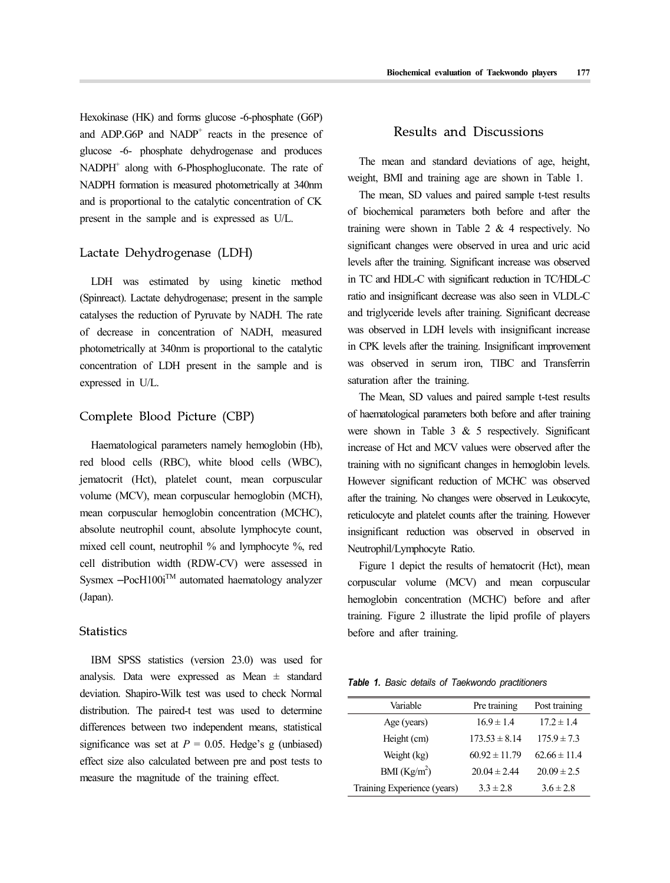Hexokinase (HK) and forms glucose -6-phosphate (G6P) and ADP.G6P and  $NADP<sup>+</sup>$  reacts in the presence of glucose -6- phosphate dehydrogenase and produces  $NADPH<sup>+</sup>$  along with 6-Phosphogluconate. The rate of NADPH formation is measured photometrically at 340nm and is proportional to the catalytic concentration of CK present in the sample and is expressed as U/L.

#### Lactate Dehydrogenase (LDH)

LDH was estimated by using kinetic method (Spinreact). Lactate dehydrogenase; present in the sample catalyses the reduction of Pyruvate by NADH. The rate of decrease in concentration of NADH, measured photometrically at 340nm is proportional to the catalytic concentration of LDH present in the sample and is expressed in U/L.

#### Complete Blood Picture (CBP)

Haematological parameters namely hemoglobin (Hb), red blood cells (RBC), white blood cells (WBC), jematocrit (Hct), platelet count, mean corpuscular volume (MCV), mean corpuscular hemoglobin (MCH), mean corpuscular hemoglobin concentration (MCHC), absolute neutrophil count, absolute lymphocyte count, mixed cell count, neutrophil % and lymphocyte %, red cell distribution width (RDW-CV) were assessed in Sysmex  $-PocH100i^{TM}$  automated haematology analyzer (Japan).

#### **Statistics**

IBM SPSS statistics (version 23.0) was used for analysis. Data were expressed as Mean ± standard deviation. Shapiro-Wilk test was used to check Normal distribution. The paired-t test was used to determine differences between two independent means, statistical significance was set at  $P = 0.05$ . Hedge's g (unbiased) effect size also calculated between pre and post tests to measure the magnitude of the training effect.

# Results and Discussions

The mean and standard deviations of age, height, weight, BMI and training age are shown in Table 1.

The mean, SD values and paired sample t-test results of biochemical parameters both before and after the training were shown in Table 2 & 4 respectively. No significant changes were observed in urea and uric acid levels after the training. Significant increase was observed in TC and HDL-C with significant reduction in TC/HDL-C ratio and insignificant decrease was also seen in VLDL-C and triglyceride levels after training. Significant decrease was observed in LDH levels with insignificant increase in CPK levels after the training. Insignificant improvement was observed in serum iron, TIBC and Transferrin saturation after the training.

The Mean, SD values and paired sample t-test results of haematological parameters both before and after training were shown in Table  $3 \& 5$  respectively. Significant increase of Hct and MCV values were observed after the training with no significant changes in hemoglobin levels. However significant reduction of MCHC was observed after the training. No changes were observed in Leukocyte, reticulocyte and platelet counts after the training. However insignificant reduction was observed in observed in Neutrophil/Lymphocyte Ratio.

Figure 1 depict the results of hematocrit (Hct), mean corpuscular volume (MCV) and mean corpuscular hemoglobin concentration (MCHC) before and after training. Figure 2 illustrate the lipid profile of players before and after training.

*Table 1. Basic details of Taekwondo practitioners*

| Variable                    | Pre training      | Post training    |
|-----------------------------|-------------------|------------------|
| Age (years)                 | $16.9 \pm 1.4$    | $17.2 \pm 1.4$   |
| Height (cm)                 | $173.53 \pm 8.14$ | $175.9 \pm 7.3$  |
| Weight (kg)                 | $60.92 \pm 11.79$ | $62.66 \pm 11.4$ |
| BMI (Kg/m <sup>2</sup> )    | $20.04 \pm 2.44$  | $20.09 \pm 2.5$  |
| Training Experience (years) | $3.3 \pm 2.8$     | $3.6 \pm 2.8$    |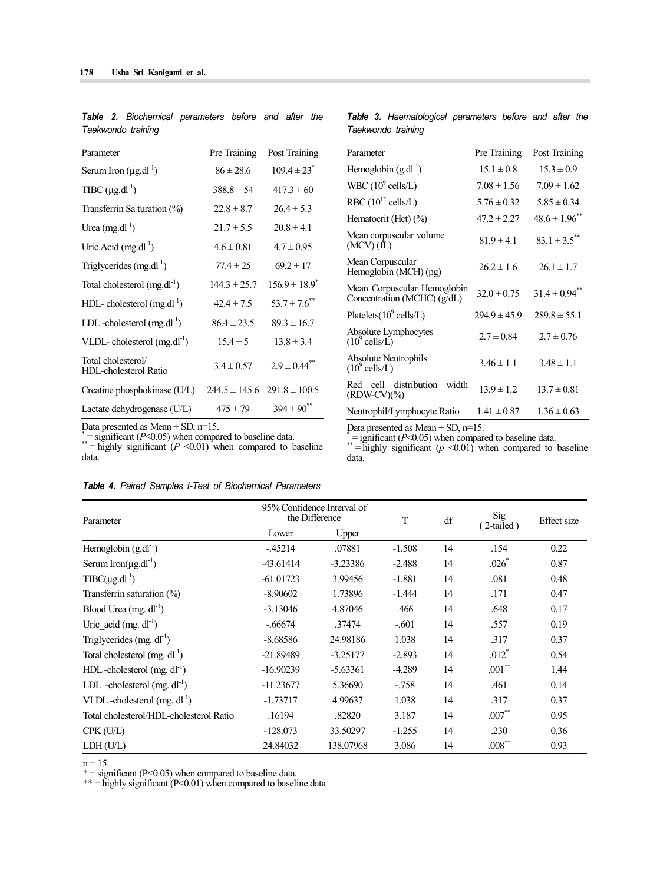| Parameter                                   | Pre Training     | Post Training                       |
|---------------------------------------------|------------------|-------------------------------------|
| Serum Iron $(\mu g.dl^{-1})$                | $86 \pm 28.6$    | $109.4 \pm 23$ <sup>*</sup>         |
| TIBC $(\mu g.dI^{-1})$                      | $388.8 \pm 54$   | $417.3 \pm 60$                      |
| Transferrin Sa turation (%)                 | $22.8 \pm 8.7$   | $26.4 \pm 5.3$                      |
| Urea $(mg.dl^{-1})$                         | $21.7 \pm 5.5$   | $20.8 \pm 4.1$                      |
| Uric Acid $(mg.dl^{-1})$                    | $4.6 \pm 0.81$   | $4.7 \pm 0.95$                      |
| Triglycerides (mg.dl <sup>-1</sup> )        | $77.4 \pm 25$    | $69.2 \pm 17$                       |
| Total cholesterol $(mg.dl^{-1})$            | $144.3 \pm 25.7$ | $156.9 \pm 18.9^*$                  |
| $HDL-$ cholesterol (mg.dl <sup>-1</sup> )   | $42.4 \pm 7.5$   | $53.7 \pm 7.6$ <sup>**</sup>        |
| LDL-cholesterol $(mg.dl^{-1})$              | $86.4 \pm 23.5$  | $89.3 \pm 16.7$                     |
| VLDL-cholesterol $(mg.dl^{-1})$             | $15.4 \pm 5$     | $13.8 \pm 3.4$                      |
| Total cholesterol/<br>HDL-cholesterol Ratio | $3.4 \pm 0.57$   | $2.9 \pm 0.44$ <sup>*</sup>         |
| Creatine phosphokinase (U/L)                |                  | $244.5 \pm 145.6$ $291.8 \pm 100.5$ |
| Lactate dehydrogenase (U/L)                 | $475 \pm 79$     | $394 \pm 90^{\degree}$              |

*Table 2. Biochemical parameters before and after the Taekwondo training* 

|  | Table 3. Haematological parameters before and after the |  |  |  |
|--|---------------------------------------------------------|--|--|--|
|  | Taekwondo training                                      |  |  |  |

| Parameter                                                    | Pre Training     | Post Training      |  |  |
|--------------------------------------------------------------|------------------|--------------------|--|--|
| Hemoglobin $(g.dl^{-1})$                                     | $15.1 \pm 0.8$   | $15.3 \pm 0.9$     |  |  |
| WBC $(10^9 \text{ cells/L})$                                 | $7.08 \pm 1.56$  | $7.09 \pm 1.62$    |  |  |
| RBC $(10^{12}$ cells/L)                                      | $5.76 \pm 0.32$  | $5.85 \pm 0.34$    |  |  |
| Hematocrit (Hct) (%)                                         | $47.2 \pm 2.27$  | $48.6 \pm 1.96$ ** |  |  |
| Mean corpuscular volume<br>$(MCV)$ (fL)                      | $81.9 \pm 4.1$   | $83.1 \pm 3.5$ **  |  |  |
| Mean Corpuscular<br>Hemoglobin (MCH) (pg)                    | $26.2 \pm 1.6$   | $26.1 \pm 1.7$     |  |  |
| Mean Corpuscular Hemoglobin<br>Concentration (MCHC) $(g/dL)$ | $32.0 \pm 0.75$  | $31.4 \pm 0.94$ ** |  |  |
| Platelets $(10^9 \text{ cells/L})$                           | $294.9 \pm 45.9$ | $289.8 \pm 55.1$   |  |  |
| Absolute Lymphocytes<br>$(10^9 \text{ cells}/L)$             | $2.7 \pm 0.84$   | $2.7 \pm 0.76$     |  |  |
| Absolute Neutrophils<br>$(10^9 \text{ cells/L})$             | $3.46 \pm 1.1$   | $3.48 \pm 1.1$     |  |  |
| Red cell distribution<br>width<br>$(RDW\text{-}CV)(\%)$      | $13.9 \pm 1.2$   | $13.7 \pm 0.81$    |  |  |
| Neutrophil/Lymphocyte Ratio                                  | $1.41 \pm 0.87$  | $1.36 \pm 0.63$    |  |  |

Data presented as Mean  $\pm$  SD, n=15.<br>
\*= ignificant (*P*<0.05) when compared to baseline data.<br>
\*\*= highly significant (*p* <0.01) when compared to baseline data.

*Table 4. Paired Samples t-Test of Biochemical Parameters* 

Data presented as Mean  $\pm$  SD, n=15.<br>
\*= significant (*P*<0.05) when compared to baseline data.<br>
\*\*\* = highly significant (*P* <0.01) when compared to baseline

| Parameter                                  | 95% Confidence Interval of<br>the Difference |            | T        | df | Sig<br>2-tailed) | <b>Effect</b> size |
|--------------------------------------------|----------------------------------------------|------------|----------|----|------------------|--------------------|
|                                            | Lower                                        | Upper      |          |    |                  |                    |
| Hemoglobin $(g.dl^{-1})$                   | $-45214$                                     | .07881     | $-1.508$ | 14 | .154             | 0.22               |
| Serum Iron( $\mu$ g.dl <sup>-1</sup> )     | $-43.61414$                                  | $-3.23386$ | $-2.488$ | 14 | $.026*$          | 0.87               |
| $T\text{IBC}(\mu\text{g.dl}^{-1})$         | $-61.01723$                                  | 3.99456    | $-1.881$ | 14 | .081             | 0.48               |
| Transferrin saturation (%)                 | $-8.90602$                                   | 1.73896    | $-1.444$ | 14 | .171             | 0.47               |
| Blood Urea $(mg. d l^{-1})$                | $-3.13046$                                   | 4.87046    | .466     | 14 | .648             | 0.17               |
| Uric acid $(mg. dl^{-1})$                  | $-.66674$                                    | .37474     | $-.601$  | 14 | .557             | 0.19               |
| Triglycerides $(mg, dl^{-1})$              | $-8.68586$                                   | 24.98186   | 1.038    | 14 | .317             | 0.37               |
| Total cholesterol $(mg. dl^{-1})$          | -21.89489                                    | $-3.25177$ | $-2.893$ | 14 | $.012*$          | 0.54               |
| $HDL$ -cholesterol (mg. dl <sup>-1</sup> ) | $-16.90239$                                  | $-5.63361$ | $-4.289$ | 14 | $.001$ **        | 1.44               |
| LDL -cholesterol $(mg, dl^{-1})$           | $-11.23677$                                  | 5.36690    | $-.758$  | 14 | .461             | 0.14               |
| VLDL-cholesterol $(mg, dl^{-1})$           | $-1.73717$                                   | 4.99637    | 1.038    | 14 | .317             | 0.37               |
| Total cholesterol/HDL-cholesterol Ratio    | .16194                                       | .82820     | 3.187    | 14 | $.007**$         | 0.95               |
| $CPK$ (U/L)                                | $-128.073$                                   | 33.50297   | $-1.255$ | 14 | .230             | 0.36               |
| LDH (U/L)                                  | 24.84032                                     | 138.07968  | 3.086    | 14 | $.008***$        | 0.93               |

data.

n = 15.<br>\* = significant (P<0.05) when compared to baseline data.<br>\*\* = highly significant (P<0.01) when compared to baseline data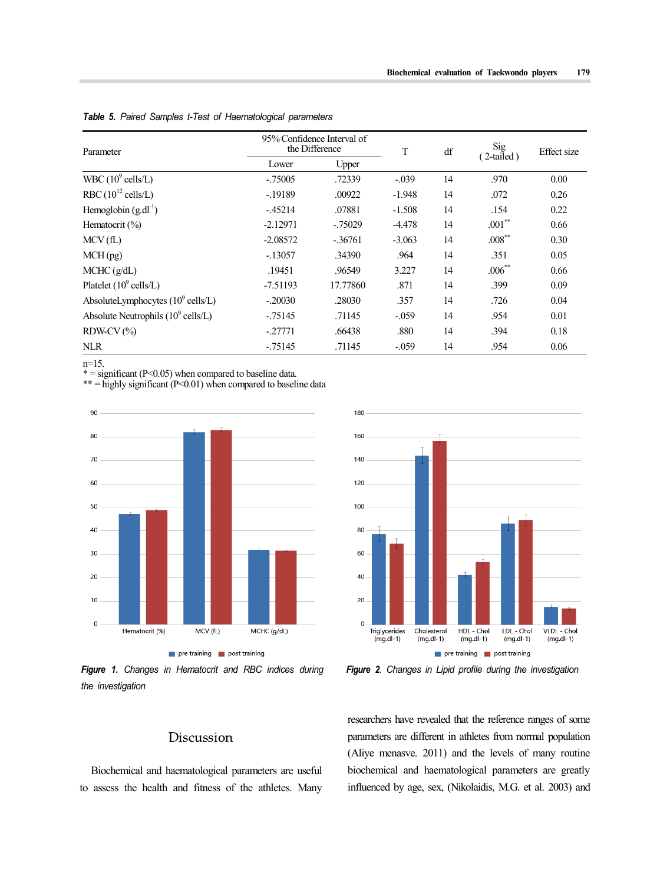| Parameter                                     | 95% Confidence Interval of<br>the Difference |            | T        | df | Sig         | Effect size |
|-----------------------------------------------|----------------------------------------------|------------|----------|----|-------------|-------------|
|                                               | Lower                                        | Upper      |          |    | 2-tailed)   |             |
| WBC $(10^9 \text{ cells/L})$                  | $-.75005$                                    | .72339     | $-.039$  | 14 | .970        | 0.00        |
| RBC $(10^{12}$ cells/L)                       | $-19189$                                     | .00922     | $-1.948$ | 14 | .072        | 0.26        |
| Hemoglobin $(g.dl^{-1})$                      | $-45214$                                     | .07881     | $-1.508$ | 14 | .154        | 0.22        |
| Hematocrit $(\% )$                            | $-2.12971$                                   | $-0.75029$ | $-4.478$ | 14 | $.001***$   | 0.66        |
| MCV(fL)                                       | $-2.08572$                                   | $-36761$   | $-3.063$ | 14 | $.008***$   | 0.30        |
| MCH(pg)                                       | $-.13057$                                    | .34390     | .964     | 14 | .351        | 0.05        |
| MCHC (g/dL)                                   | .19451                                       | .96549     | 3.227    | 14 | $.006^{**}$ | 0.66        |
| Platelet $(10^9 \text{ cells/L})$             | $-7.51193$                                   | 17.77860   | .871     | 14 | .399        | 0.09        |
| AbsoluteLymphocytes $(10^9 \text{ cells/L})$  | $-.20030$                                    | .28030     | .357     | 14 | .726        | 0.04        |
| Absolute Neutrophils $(10^9 \text{ cells/L})$ | $-75145$                                     | .71145     | $-.059$  | 14 | .954        | 0.01        |
| $RDW-CV (%)$                                  | $-.27771$                                    | .66438     | .880     | 14 | .394        | 0.18        |
| <b>NLR</b>                                    | $-75145$                                     | .71145     | $-.059$  | 14 | .954        | 0.06        |

*Table 5. Paired Samples t-Test of Haematological parameters* 

n=15.<br>\* = significant (P<0.05) when compared to baseline data.<br>\*\* = highly significant (P<0.01) when compared to baseline data



*Figure 1. Changes in Hematocrit and RBC indices during the investigation* 



*Figure 2. Changes in Lipid profile during the investigation*

# Discussion

Biochemical and haematological parameters are useful to assess the health and fitness of the athletes. Many researchers have revealed that the reference ranges of some parameters are different in athletes from normal population (Aliye menasve. 2011) and the levels of many routine biochemical and haematological parameters are greatly influenced by age, sex, (Nikolaidis, M.G. et al. 2003) and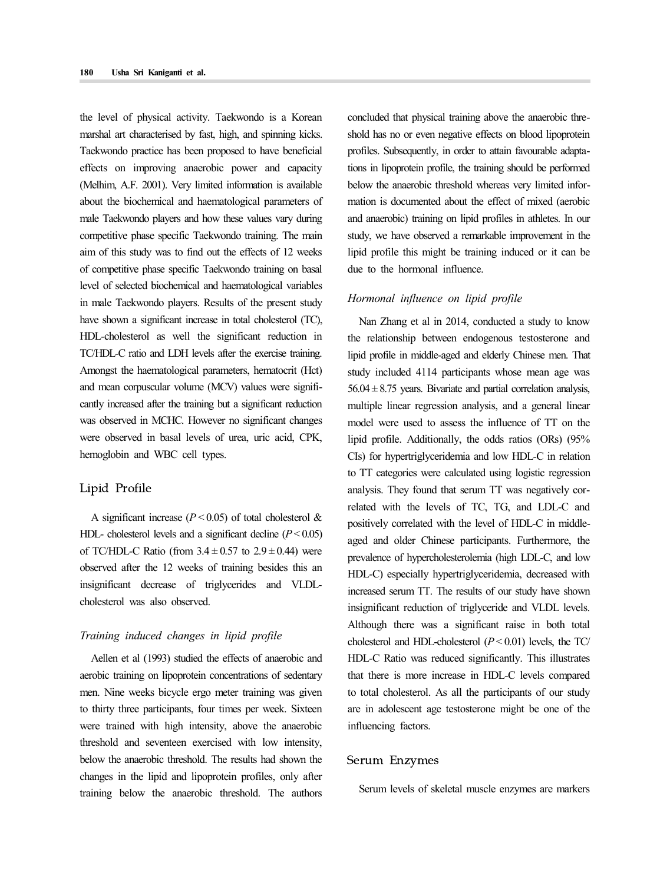the level of physical activity. Taekwondo is a Korean marshal art characterised by fast, high, and spinning kicks. Taekwondo practice has been proposed to have beneficial effects on improving anaerobic power and capacity (Melhim, A.F. 2001). Very limited information is available about the biochemical and haematological parameters of male Taekwondo players and how these values vary during competitive phase specific Taekwondo training. The main aim of this study was to find out the effects of 12 weeks of competitive phase specific Taekwondo training on basal level of selected biochemical and haematological variables in male Taekwondo players. Results of the present study have shown a significant increase in total cholesterol (TC), HDL-cholesterol as well the significant reduction in TC/HDL-C ratio and LDH levels after the exercise training. Amongst the haematological parameters, hematocrit (Hct) and mean corpuscular volume (MCV) values were signifi cantly increased after the training but a significant reduction was observed in MCHC. However no significant changes were observed in basal levels of urea, uric acid, CPK, hemoglobin and WBC cell types.

#### Lipid Profile

A significant increase  $(P < 0.05)$  of total cholesterol & HDL- cholesterol levels and a significant decline  $(P < 0.05)$ of TC/HDL-C Ratio (from  $3.4 \pm 0.57$  to  $2.9 \pm 0.44$ ) were observed after the 12 weeks of training besides this an insignificant decrease of triglycerides and VLDLcholesterol was also observed.

#### *Training induced changes in lipid profile*

Aellen et al (1993) studied the effects of anaerobic and aerobic training on lipoprotein concentrations of sedentary men. Nine weeks bicycle ergo meter training was given to thirty three participants, four times per week. Sixteen were trained with high intensity, above the anaerobic threshold and seventeen exercised with low intensity, below the anaerobic threshold. The results had shown the changes in the lipid and lipoprotein profiles, only after training below the anaerobic threshold. The authors concluded that physical training above the anaerobic thre shold has no or even negative effects on blood lipoprotein profiles. Subsequently, in order to attain favourable adaptations in lipoprotein profile, the training should be performed below the anaerobic threshold whereas very limited infor mation is documented about the effect of mixed (aerobic and anaerobic) training on lipid profiles in athletes. In our study, we have observed a remarkable improvement in the lipid profile this might be training induced or it can be due to the hormonal influence.

#### *Hormonal influence on lipid profile*

Nan Zhang et al in 2014, conducted a study to know the relationship between endogenous testosterone and lipid profile in middle-aged and elderly Chinese men. That study included 4114 participants whose mean age was  $56.04 \pm 8.75$  years. Bivariate and partial correlation analysis, multiple linear regression analysis, and a general linear model were used to assess the influence of TT on the lipid profile. Additionally, the odds ratios (ORs) (95% CIs) for hypertriglyceridemia and low HDL-C in relation to TT categories were calculated using logistic regression analysis. They found that serum TT was negatively correlated with the levels of TC, TG, and LDL-C and positively correlated with the level of HDL-C in middleaged and older Chinese participants. Furthermore, the prevalence of hypercholesterolemia (high LDL-C, and low HDL-C) especially hypertriglyceridemia, decreased with increased serum TT. The results of our study have shown insignificant reduction of triglyceride and VLDL levels. Although there was a significant raise in both total cholesterol and HDL-cholesterol (*P* < 0.01) levels, the TC/ HDL-C Ratio was reduced significantly. This illustrates that there is more increase in HDL-C levels compared to total cholesterol. As all the participants of our study are in adolescent age testosterone might be one of the influencing factors.

#### Serum Enzymes

Serum levels of skeletal muscle enzymes are markers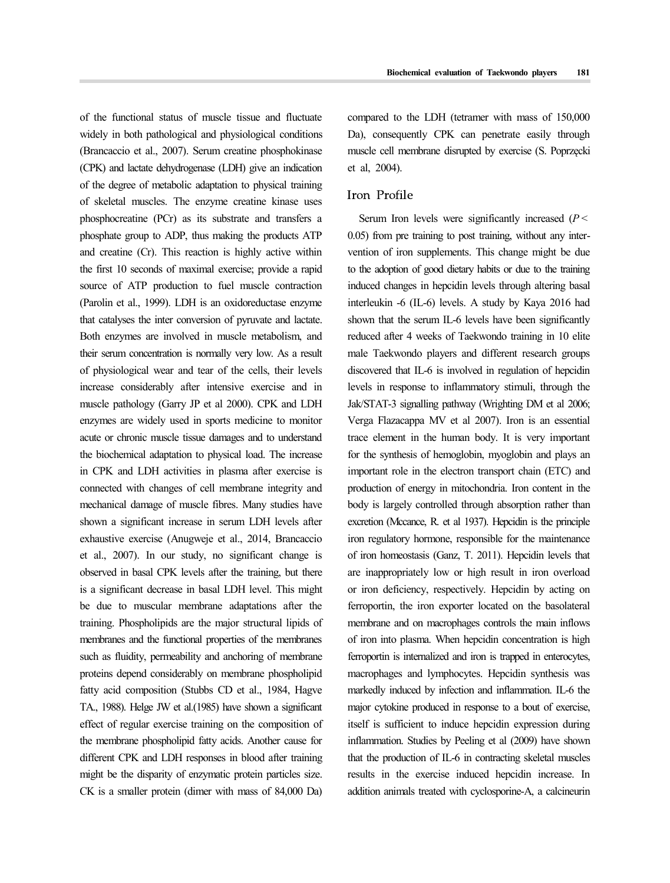of the functional status of muscle tissue and fluctuate widely in both pathological and physiological conditions (Brancaccio et al., 2007). Serum creatine phosphokinase (CPK) and lactate dehydrogenase (LDH) give an indication of the degree of metabolic adaptation to physical training of skeletal muscles. The enzyme creatine kinase uses phosphocreatine (PCr) as its substrate and transfers a phosphate group to ADP, thus making the products ATP and creatine (Cr). This reaction is highly active within the first 10 seconds of maximal exercise; provide a rapid source of ATP production to fuel muscle contraction (Parolin et al., 1999). LDH is an oxidoreductase enzyme that catalyses the inter conversion of pyruvate and lactate. Both enzymes are involved in muscle metabolism, and their serum concentration is normally very low. As a result of physiological wear and tear of the cells, their levels increase considerably after intensive exercise and in muscle pathology (Garry JP et al 2000). CPK and LDH enzymes are widely used in sports medicine to monitor acute or chronic muscle tissue damages and to understand the biochemical adaptation to physical load. The increase in CPK and LDH activities in plasma after exercise is connected with changes of cell membrane integrity and mechanical damage of muscle fibres. Many studies have shown a significant increase in serum LDH levels after exhaustive exercise (Anugweje et al., 2014, Brancaccio et al., 2007). In our study, no significant change is observed in basal CPK levels after the training, but there is a significant decrease in basal LDH level. This might be due to muscular membrane adaptations after the training. Phospholipids are the major structural lipids of membranes and the functional properties of the membranes such as fluidity, permeability and anchoring of membrane proteins depend considerably on membrane phospholipid fatty acid composition (Stubbs CD et al., 1984, Hagve TA., 1988). Helge JW et al.(1985) have shown a significant effect of regular exercise training on the composition of the membrane phospholipid fatty acids. Another cause for different CPK and LDH responses in blood after training might be the disparity of enzymatic protein particles size. CK is a smaller protein (dimer with mass of 84,000 Da) compared to the LDH (tetramer with mass of 150,000 Da), consequently CPK can penetrate easily through muscle cell membrane disrupted by exercise (S. Poprzęcki et al, 2004).

# Iron Profile

Serum Iron levels were significantly increased (*P* < 0.05) from pre training to post training, without any inter vention of iron supplements. This change might be due to the adoption of good dietary habits or due to the training induced changes in hepcidin levels through altering basal interleukin -6 (IL-6) levels. A study by Kaya 2016 had shown that the serum IL-6 levels have been significantly reduced after 4 weeks of Taekwondo training in 10 elite male Taekwondo players and different research groups discovered that IL-6 is involved in regulation of hepcidin levels in response to inflammatory stimuli, through the Jak/STAT-3 signalling pathway (Wrighting DM et al 2006; Verga Flazacappa MV et al 2007). Iron is an essential trace element in the human body. It is very important for the synthesis of hemoglobin, myoglobin and plays an important role in the electron transport chain (ETC) and production of energy in mitochondria. Iron content in the body is largely controlled through absorption rather than excretion (Mccance, R. et al 1937). Hepcidin is the principle iron regulatory hormone, responsible for the maintenance of iron homeostasis (Ganz, T. 2011). Hepcidin levels that are inappropriately low or high result in iron overload or iron deficiency, respectively. Hepcidin by acting on ferroportin, the iron exporter located on the basolateral membrane and on macrophages controls the main inflows of iron into plasma. When hepcidin concentration is high ferroportin is internalized and iron is trapped in enterocytes, macrophages and lymphocytes. Hepcidin synthesis was markedly induced by infection and inflammation. IL-6 the major cytokine produced in response to a bout of exercise, itself is sufficient to induce hepcidin expression during inflammation. Studies by Peeling et al (2009) have shown that the production of IL-6 in contracting skeletal muscles results in the exercise induced hepcidin increase. In addition animals treated with cyclosporine-A, a calcineurin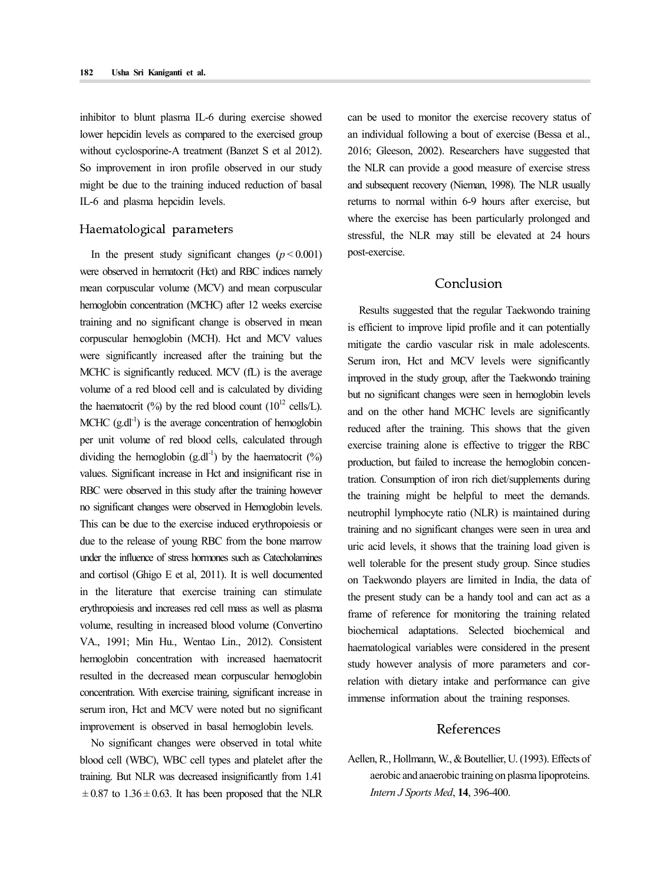inhibitor to blunt plasma IL-6 during exercise showed lower hepcidin levels as compared to the exercised group without cyclosporine-A treatment (Banzet S et al 2012). So improvement in iron profile observed in our study might be due to the training induced reduction of basal IL-6 and plasma hepcidin levels.

#### Haematological parameters

In the present study significant changes  $(p < 0.001)$ were observed in hematocrit (Hct) and RBC indices namely mean corpuscular volume (MCV) and mean corpuscular hemoglobin concentration (MCHC) after 12 weeks exercise training and no significant change is observed in mean corpuscular hemoglobin (MCH). Hct and MCV values were significantly increased after the training but the MCHC is significantly reduced. MCV (fL) is the average volume of a red blood cell and is calculated by dividing the haematocrit (%) by the red blood count ( $10^{12}$  cells/L). MCHC  $(g.dl^{-1})$  is the average concentration of hemoglobin per unit volume of red blood cells, calculated through dividing the hemoglobin  $(g.dl^{-1})$  by the haematocrit  $(\%)$ values. Significant increase in Hct and insignificant rise in RBC were observed in this study after the training however no significant changes were observed in Hemoglobin levels. This can be due to the exercise induced erythropoiesis or due to the release of young RBC from the bone marrow under the influence of stress hormones such as Catecholamines and cortisol (Ghigo E et al, 2011). It is well documented in the literature that exercise training can stimulate erythropoiesis and increases red cell mass as well as plasma volume, resulting in increased blood volume (Convertino VA., 1991; Min Hu., Wentao Lin., 2012). Consistent hemoglobin concentration with increased haematocrit resulted in the decreased mean corpuscular hemoglobin concentration. With exercise training, significant increase in serum iron, Hct and MCV were noted but no significant improvement is observed in basal hemoglobin levels.

No significant changes were observed in total white blood cell (WBC), WBC cell types and platelet after the training. But NLR was decreased insignificantly from 1.41  $\pm$  0.87 to 1.36  $\pm$  0.63. It has been proposed that the NLR can be used to monitor the exercise recovery status of an individual following a bout of exercise (Bessa et al., 2016; Gleeson, 2002). Researchers have suggested that the NLR can provide a good measure of exercise stress and subsequent recovery (Nieman, 1998). The NLR usually returns to normal within 6-9 hours after exercise, but where the exercise has been particularly prolonged and stressful, the NLR may still be elevated at 24 hours post-exercise.

### Conclusion

Results suggested that the regular Taekwondo training is efficient to improve lipid profile and it can potentially mitigate the cardio vascular risk in male adolescents. Serum iron, Hct and MCV levels were significantly improved in the study group, after the Taekwondo training but no significant changes were seen in hemoglobin levels and on the other hand MCHC levels are significantly reduced after the training. This shows that the given exercise training alone is effective to trigger the RBC production, but failed to increase the hemoglobin concentration. Consumption of iron rich diet/supplements during the training might be helpful to meet the demands. neutrophil lymphocyte ratio (NLR) is maintained during training and no significant changes were seen in urea and uric acid levels, it shows that the training load given is well tolerable for the present study group. Since studies on Taekwondo players are limited in India, the data of the present study can be a handy tool and can act as a frame of reference for monitoring the training related biochemical adaptations. Selected biochemical and haematological variables were considered in the present study however analysis of more parameters and correlation with dietary intake and performance can give immense information about the training responses.

# References

Aellen, R., Hollmann, W., & Boutellier, U. (1993). Effects of aerobic and anaerobic training on plasma lipoproteins. *Intern J Sports Med*, **14**, 396-400.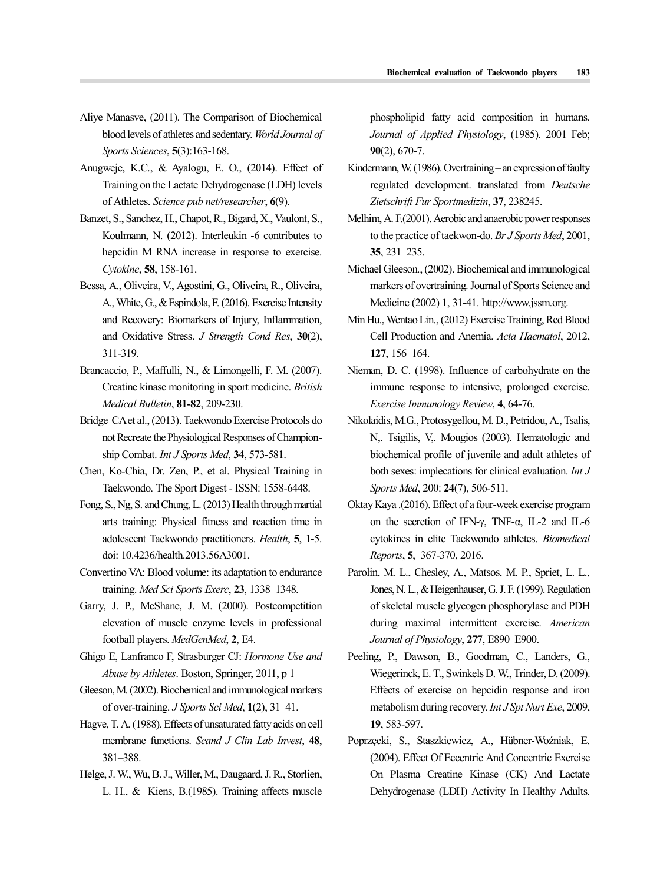- Aliye Manasve, (2011). The Comparison of Biochemical blood levels of athletes and sedentary. *World Journal of Sports Sciences*, **5**(3):163-168.
- Anugweje, K.C., & Ayalogu, E. O., (2014). Effect of Training on the Lactate Dehydrogenase (LDH) levels of Athletes. *Science pub net/researcher*, **6**(9).
- Banzet, S., Sanchez, H., Chapot, R., Bigard, X., Vaulont, S., Koulmann, N. (2012). Interleukin -6 contributes to hepcidin M RNA increase in response to exercise. *Cytokine*, **58**, 158-161.
- Bessa, A., Oliveira, V., Agostini, G., Oliveira, R., Oliveira, A., White, G., & Espindola, F. (2016). Exercise Intensity and Recovery: Biomarkers of Injury, Inflammation, and Oxidative Stress. *J Strength Cond Res*, **30**(2), 311-319.
- Brancaccio, P., Maffulli, N., & Limongelli, F. M. (2007). Creatine kinase monitoring in sport medicine. *British Medical Bulletin*, **81-82**, 209-230.
- Bridge CA et al., (2013). Taekwondo Exercise Protocols do not Recreate the Physiological Responses of Champion ship Combat. *Int J Sports Med*, **34**, 573-581.
- Chen, Ko-Chia, Dr. Zen, P., et al. Physical Training in Taekwondo. The Sport Digest - ISSN: 1558-6448.
- Fong, S., Ng, S. and Chung, L. (2013) Health through martial arts training: Physical fitness and reaction time in adolescent Taekwondo practitioners. *Health*, **5**, 1-5. doi: 10.4236/health.2013.56A3001.
- Convertino VA: Blood volume: its adaptation to endurance training. *Med Sci Sports Exerc*, **23**, 1338–1348.
- Garry, J. P., McShane, J. M. (2000). Postcompetition elevation of muscle enzyme levels in professional football players. *MedGenMed*, **2**, E4.
- Ghigo E, Lanfranco F, Strasburger CJ: *Hormone Use and Abuse by Athletes*. Boston, Springer, 2011, p 1
- Gleeson, M. (2002). Biochemical and immunological markers of over-training. *J Sports Sci Med*, **1**(2), 31–41.
- Hagve, T. A. (1988). Effects of unsaturated fatty acids on cell membrane functions. *Scand J Clin Lab Invest*, **48**, 381–388.
- Helge, J. W., Wu, B. J., Willer, M., Daugaard, J. R., Storlien, L. H., & Kiens, B.(1985). Training affects muscle

phospholipid fatty acid composition in humans. *Journal of Applied Physiology*, (1985). 2001 Feb; **90**(2), 670-7.

- Kindermann, W. (1986). Overtraining an expression of faulty regulated development. translated from *Deutsche Zietschrift Fur Sportmedizin*, **37**, 238245.
- Melhim, A. F.(2001). Aerobic and anaerobic power responses to the practice of taekwon-do. *Br J Sports Med*, 2001, **35**, 231–235.
- Michael Gleeson., (2002). Biochemical and immunological markers of overtraining. Journal of Sports Science and Medicine (2002) **1**, 31-41. http://www.jssm.org.
- Min Hu., Wentao Lin., (2012) Exercise Training, Red Blood Cell Production and Anemia. *Acta Haematol*, 2012, **127**, 156–164.
- Nieman, D. C. (1998). Influence of carbohydrate on the immune response to intensive, prolonged exercise. *Exercise Immunology Review*, **4**, 64-76.
- Nikolaidis, M.G., Protosygellou, M. D., Petridou, A., Tsalis, N,. Tsigilis, V,. Mougios (2003). Hematologic and biochemical profile of juvenile and adult athletes of both sexes: implecations for clinical evaluation. *Int J Sports Med*, 200: **24**(7), 506-511.
- Oktay Kaya .(2016). Effect of a four‑week exercise program on the secretion of IFN‑γ, TNF‑α, IL‑2 and IL‑6 cytokines in elite Taekwondo athletes. *Biomedical Reports*, **5**, 367-370, 2016.
- Parolin, M. L., Chesley, A., Matsos, M. P., Spriet, L. L., Jones, N. L., & Heigenhauser, G. J. F. (1999). Regulation of skeletal muscle glycogen phosphorylase and PDH during maximal intermittent exercise. *American Journal of Physiology*, **277**, E890–E900.
- Peeling, P., Dawson, B., Goodman, C., Landers, G., Wiegerinck, E. T., Swinkels D. W., Trinder, D. (2009). Effects of exercise on hepcidin response and iron metabolism during recovery. *Int J Spt Nurt Exe*, 2009, **19**, 583-597.
- Poprzęcki, S., Staszkiewicz, A., Hübner-Woźniak, E. (2004). Effect Of Eccentric And Concentric Exercise On Plasma Creatine Kinase (CK) And Lactate Dehydrogenase (LDH) Activity In Healthy Adults.